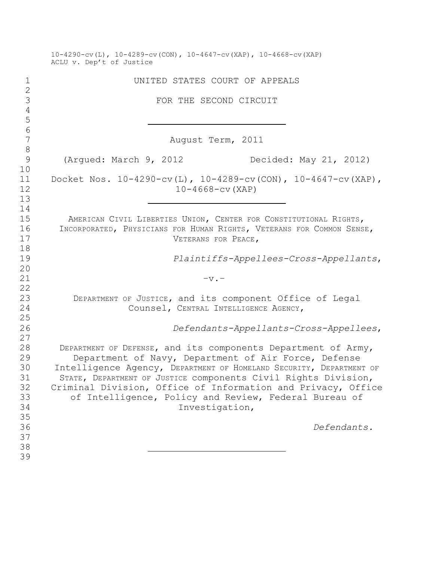|                                              | $10-4290-\text{cv}$ (L), $10-4289-\text{cv}$ (CON), $10-4647-\text{cv}$ (XAP), $10-4668-\text{cv}$ (XAP)<br>ACLU v. Dep't of Justice                                                                                                                                                                                                                                                                      |
|----------------------------------------------|-----------------------------------------------------------------------------------------------------------------------------------------------------------------------------------------------------------------------------------------------------------------------------------------------------------------------------------------------------------------------------------------------------------|
| $\mathbf 1$                                  | UNITED STATES COURT OF APPEALS                                                                                                                                                                                                                                                                                                                                                                            |
| $\mathbf{2}$<br>$\mathfrak{Z}$               | FOR THE SECOND CIRCUIT                                                                                                                                                                                                                                                                                                                                                                                    |
| $\overline{4}$<br>5<br>$\sqrt{6}$            |                                                                                                                                                                                                                                                                                                                                                                                                           |
| $\boldsymbol{7}$<br>$\,8\,$                  | August Term, 2011                                                                                                                                                                                                                                                                                                                                                                                         |
| $\overline{9}$<br>10                         | (Argued: March 9, 2012<br>Decided: May 21, 2012)                                                                                                                                                                                                                                                                                                                                                          |
| 11<br>12<br>13                               | Docket Nos. 10-4290-cv(L), 10-4289-cv(CON), 10-4647-cv(XAP),<br>$10 - 4668 - cv (XAP)$                                                                                                                                                                                                                                                                                                                    |
| 14<br>15<br>16<br>17                         | AMERICAN CIVIL LIBERTIES UNION, CENTER FOR CONSTITUTIONAL RIGHTS,<br>INCORPORATED, PHYSICIANS FOR HUMAN RIGHTS, VETERANS FOR COMMON SENSE,<br>VETERANS FOR PEACE,                                                                                                                                                                                                                                         |
| 18<br>19<br>20                               | Plaintiffs-Appellees-Cross-Appellants,                                                                                                                                                                                                                                                                                                                                                                    |
| 21<br>22                                     | $-v -$                                                                                                                                                                                                                                                                                                                                                                                                    |
| 23<br>24<br>25                               | DEPARTMENT OF JUSTICE, and its component Office of Legal<br>Counsel, CENTRAL INTELLIGENCE AGENCY,                                                                                                                                                                                                                                                                                                         |
| 26<br>27                                     | Defendants-Appellants-Cross-Appellees,                                                                                                                                                                                                                                                                                                                                                                    |
| 28<br>29<br>30<br>31<br>32<br>33<br>34<br>35 | DEPARTMENT OF DEFENSE, and its components Department of Army,<br>Department of Navy, Department of Air Force, Defense<br>Intelligence Agency, DEPARTMENT OF HOMELAND SECURITY, DEPARTMENT OF<br>STATE, DEPARTMENT OF JUSTICE COMponents Civil Rights Division,<br>Criminal Division, Office of Information and Privacy, Office<br>of Intelligence, Policy and Review, Federal Bureau of<br>Investigation, |
| 36<br>37<br>38                               | Defendants.                                                                                                                                                                                                                                                                                                                                                                                               |
| 39                                           |                                                                                                                                                                                                                                                                                                                                                                                                           |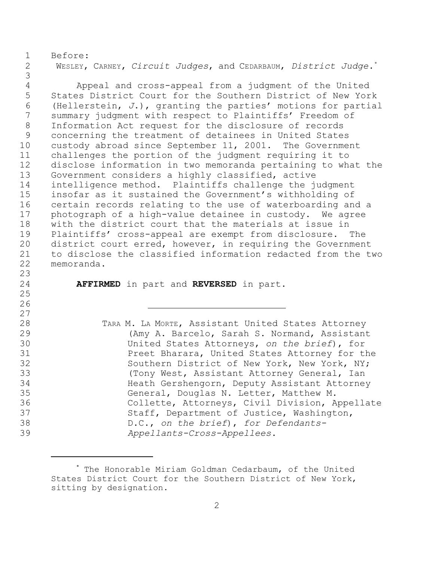Before: WESLEY, CARNEY, *Circuit Judges*, and CEDARBAUM, *District Judge*. \*

 Appeal and cross-appeal from a judgment of the United States District Court for the Southern District of New York (Hellerstein, *J*.), granting the parties' motions for partial summary judgment with respect to Plaintiffs' Freedom of Information Act request for the disclosure of records concerning the treatment of detainees in United States custody abroad since September 11, 2001. The Government challenges the portion of the judgment requiring it to disclose information in two memoranda pertaining to what the Government considers a highly classified, active intelligence method. Plaintiffs challenge the judgment insofar as it sustained the Government's withholding of certain records relating to the use of waterboarding and a photograph of a high-value detainee in custody. We agree with the district court that the materials at issue in Plaintiffs' cross-appeal are exempt from disclosure. The district court erred, however, in requiring the Government to disclose the classified information redacted from the two memoranda. 

**AFFIRMED** in part and **REVERSED** in part.

 TARA M. LA MORTE, Assistant United States Attorney (Amy A. Barcelo, Sarah S. Normand, Assistant United States Attorneys, *on the brief*), for Preet Bharara, United States Attorney for the Southern District of New York, New York, NY; (Tony West, Assistant Attorney General, Ian Heath Gershengorn, Deputy Assistant Attorney General, Douglas N. Letter, Matthew M. Collette, Attorneys, Civil Division, Appellate Staff, Department of Justice, Washington, D.C., *on the brief*), *for Defendants-Appellants-Cross-Appellees*.

<sup>\*</sup> The Honorable Miriam Goldman Cedarbaum, of the United States District Court for the Southern District of New York, sitting by designation.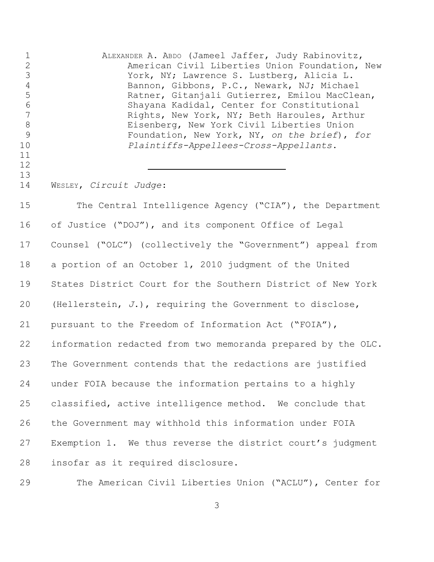| $\mathbf 1$<br>$\overline{c}$<br>$\mathfrak{Z}$<br>$\overline{4}$<br>5<br>$\sqrt{6}$<br>7<br>$\,8\,$<br>$\mathcal{G}$<br>10<br>11<br>12<br>13 | ALEXANDER A. ABDO (Jameel Jaffer, Judy Rabinovitz,<br>American Civil Liberties Union Foundation, New<br>York, NY; Lawrence S. Lustberg, Alicia L.<br>Bannon, Gibbons, P.C., Newark, NJ; Michael<br>Ratner, Gitanjali Gutierrez, Emilou MacClean,<br>Shayana Kadidal, Center for Constitutional<br>Rights, New York, NY; Beth Haroules, Arthur<br>Eisenberg, New York Civil Liberties Union<br>Foundation, New York, NY, on the brief), for<br>Plaintiffs-Appellees-Cross-Appellants. |
|-----------------------------------------------------------------------------------------------------------------------------------------------|--------------------------------------------------------------------------------------------------------------------------------------------------------------------------------------------------------------------------------------------------------------------------------------------------------------------------------------------------------------------------------------------------------------------------------------------------------------------------------------|
| 14                                                                                                                                            | WESLEY, Circuit Judge:                                                                                                                                                                                                                                                                                                                                                                                                                                                               |
| 15                                                                                                                                            | The Central Intelligence Agency ("CIA"), the Department                                                                                                                                                                                                                                                                                                                                                                                                                              |
| 16                                                                                                                                            | of Justice ("DOJ"), and its component Office of Legal                                                                                                                                                                                                                                                                                                                                                                                                                                |
| 17                                                                                                                                            | Counsel ("OLC") (collectively the "Government") appeal from                                                                                                                                                                                                                                                                                                                                                                                                                          |
| 18                                                                                                                                            | a portion of an October 1, 2010 judgment of the United                                                                                                                                                                                                                                                                                                                                                                                                                               |
| 19                                                                                                                                            | States District Court for the Southern District of New York                                                                                                                                                                                                                                                                                                                                                                                                                          |
| 20                                                                                                                                            | (Hellerstein, $J.$ ), requiring the Government to disclose,                                                                                                                                                                                                                                                                                                                                                                                                                          |
| 21                                                                                                                                            | pursuant to the Freedom of Information Act ("FOIA"),                                                                                                                                                                                                                                                                                                                                                                                                                                 |
| 22                                                                                                                                            | information redacted from two memoranda prepared by the OLC.                                                                                                                                                                                                                                                                                                                                                                                                                         |
| 23                                                                                                                                            | The Government contends that the redactions are justified                                                                                                                                                                                                                                                                                                                                                                                                                            |
| 24                                                                                                                                            | under FOIA because the information pertains to a highly                                                                                                                                                                                                                                                                                                                                                                                                                              |
| 25                                                                                                                                            | classified, active intelligence method. We conclude that                                                                                                                                                                                                                                                                                                                                                                                                                             |
| 26                                                                                                                                            | the Government may withhold this information under FOIA                                                                                                                                                                                                                                                                                                                                                                                                                              |
| 27                                                                                                                                            | Exemption 1. We thus reverse the district court's judgment                                                                                                                                                                                                                                                                                                                                                                                                                           |
| 28                                                                                                                                            | insofar as it required disclosure.                                                                                                                                                                                                                                                                                                                                                                                                                                                   |
|                                                                                                                                               |                                                                                                                                                                                                                                                                                                                                                                                                                                                                                      |

The American Civil Liberties Union ("ACLU"), Center for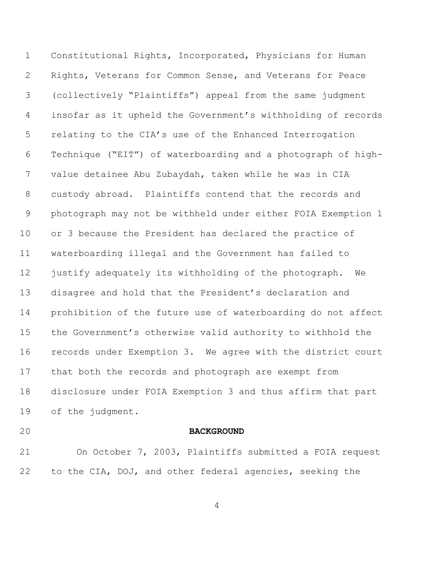Constitutional Rights, Incorporated, Physicians for Human Rights, Veterans for Common Sense, and Veterans for Peace (collectively "Plaintiffs") appeal from the same judgment insofar as it upheld the Government's withholding of records relating to the CIA's use of the Enhanced Interrogation Technique ("EIT") of waterboarding and a photograph of high- value detainee Abu Zubaydah, taken while he was in CIA custody abroad. Plaintiffs contend that the records and photograph may not be withheld under either FOIA Exemption 1 or 3 because the President has declared the practice of waterboarding illegal and the Government has failed to justify adequately its withholding of the photograph. We disagree and hold that the President's declaration and prohibition of the future use of waterboarding do not affect the Government's otherwise valid authority to withhold the records under Exemption 3. We agree with the district court that both the records and photograph are exempt from disclosure under FOIA Exemption 3 and thus affirm that part of the judgment.

#### **BACKGROUND**

 On October 7, 2003, Plaintiffs submitted a FOIA request to the CIA, DOJ, and other federal agencies, seeking the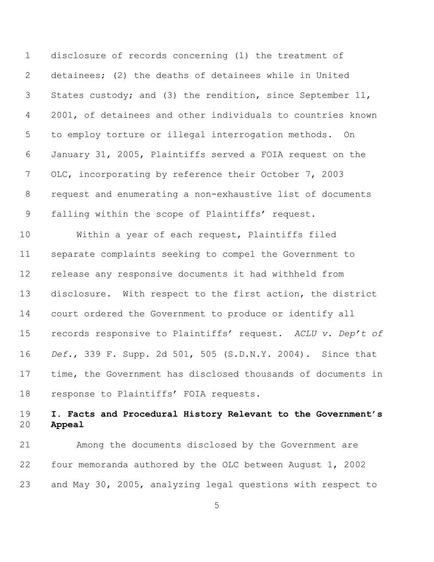disclosure of records concerning (1) the treatment of detainees; (2) the deaths of detainees while in United States custody; and (3) the rendition, since September 11, 2001, of detainees and other individuals to countries known to employ torture or illegal interrogation methods. On January 31, 2005, Plaintiffs served a FOIA request on the OLC, incorporating by reference their October 7, 2003 request and enumerating a non-exhaustive list of documents falling within the scope of Plaintiffs' request.

 Within a year of each request, Plaintiffs filed separate complaints seeking to compel the Government to release any responsive documents it had withheld from disclosure. With respect to the first action, the district court ordered the Government to produce or identify all records responsive to Plaintiffs' request. *ACLU v. Dep't of Def.*, 339 F. Supp. 2d 501, 505 (S.D.N.Y. 2004). Since that time, the Government has disclosed thousands of documents in response to Plaintiffs' FOIA requests.

# **I. Facts and Procedural History Relevant to the Government's Appeal**

 Among the documents disclosed by the Government are four memoranda authored by the OLC between August 1, 2002 and May 30, 2005, analyzing legal questions with respect to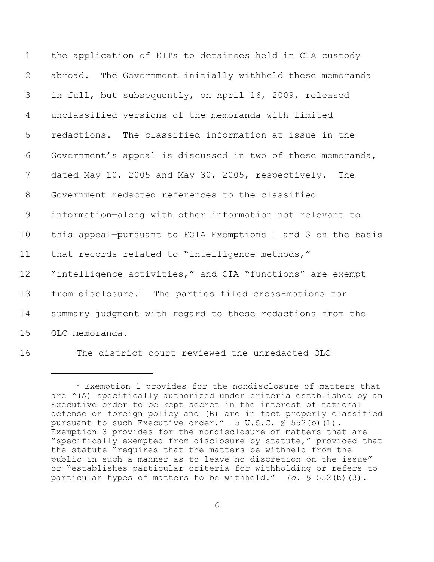| $\mathbf 1$           | the application of EITs to detainees held in CIA custody          |
|-----------------------|-------------------------------------------------------------------|
| $\mathbf{2}^{\prime}$ | abroad. The Government initially withheld these memoranda         |
| 3                     | in full, but subsequently, on April 16, 2009, released            |
| 4                     | unclassified versions of the memoranda with limited               |
| 5                     | redactions. The classified information at issue in the            |
| 6                     | Government's appeal is discussed in two of these memoranda,       |
| 7                     | dated May 10, 2005 and May 30, 2005, respectively.<br>The         |
| 8                     | Government redacted references to the classified                  |
| 9                     | information-along with other information not relevant to          |
| 10                    | this appeal-pursuant to FOIA Exemptions 1 and 3 on the basis      |
| 11                    | that records related to "intelligence methods,"                   |
| 12                    | "intelligence activities," and CIA "functions" are exempt         |
| 13                    | from disclosure. <sup>1</sup> The parties filed cross-motions for |
| 14                    | summary judgment with regard to these redactions from the         |
| 15                    | OLC memoranda.                                                    |
|                       |                                                                   |

The district court reviewed the unredacted OLC

 Exemption 1 provides for the nondisclosure of matters that are "(A) specifically authorized under criteria established by an Executive order to be kept secret in the interest of national defense or foreign policy and (B) are in fact properly classified pursuant to such Executive order." 5 U.S.C. § 552(b)(1). Exemption 3 provides for the nondisclosure of matters that are "specifically exempted from disclosure by statute," provided that the statute "requires that the matters be withheld from the public in such a manner as to leave no discretion on the issue" or "establishes particular criteria for withholding or refers to particular types of matters to be withheld." *Id.* § 552(b)(3).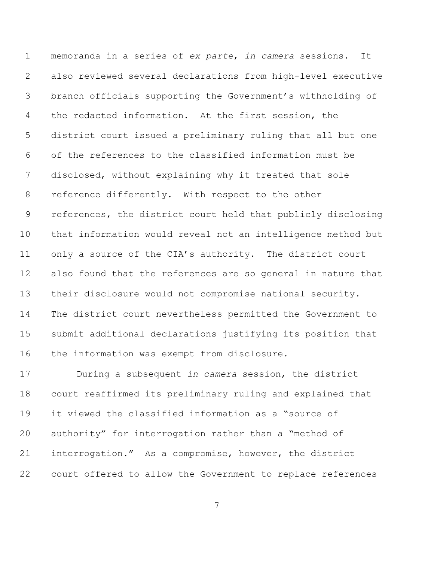memoranda in a series of *ex parte*, *in camera* sessions. It also reviewed several declarations from high-level executive branch officials supporting the Government's withholding of the redacted information. At the first session, the district court issued a preliminary ruling that all but one of the references to the classified information must be disclosed, without explaining why it treated that sole reference differently. With respect to the other references, the district court held that publicly disclosing that information would reveal not an intelligence method but only a source of the CIA's authority. The district court also found that the references are so general in nature that their disclosure would not compromise national security. The district court nevertheless permitted the Government to submit additional declarations justifying its position that the information was exempt from disclosure.

 During a subsequent *in camera* session, the district court reaffirmed its preliminary ruling and explained that it viewed the classified information as a "source of authority" for interrogation rather than a "method of interrogation." As a compromise, however, the district court offered to allow the Government to replace references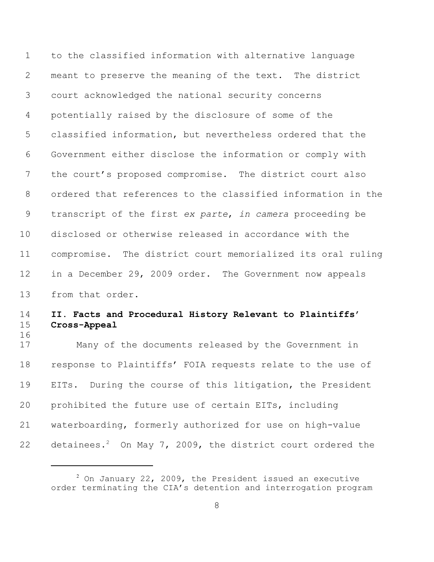to the classified information with alternative language meant to preserve the meaning of the text. The district court acknowledged the national security concerns potentially raised by the disclosure of some of the classified information, but nevertheless ordered that the Government either disclose the information or comply with the court's proposed compromise. The district court also ordered that references to the classified information in the transcript of the first *ex parte*, *in camera* proceeding be disclosed or otherwise released in accordance with the compromise. The district court memorialized its oral ruling in a December 29, 2009 order. The Government now appeals from that order.

## **II. Facts and Procedural History Relevant to Plaintiffs' Cross-Appeal**

 Many of the documents released by the Government in response to Plaintiffs' FOIA requests relate to the use of EITs.During the course of this litigation, the President prohibited the future use of certain EITs, including waterboarding, formerly authorized for use on high-value 22 detainees.<sup>2</sup> On May 7, 2009, the district court ordered the

 On January 22, 2009, the President issued an executive order terminating the CIA's detention and interrogation program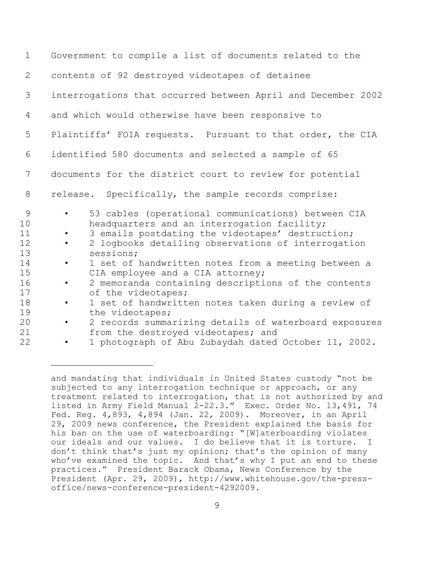| $\mathbf 1$                                             | Government to compile a list of documents related to the                                                                                                                                                                                                                                                                                                                                                                                                                                                                 |
|---------------------------------------------------------|--------------------------------------------------------------------------------------------------------------------------------------------------------------------------------------------------------------------------------------------------------------------------------------------------------------------------------------------------------------------------------------------------------------------------------------------------------------------------------------------------------------------------|
| 2                                                       | contents of 92 destroyed videotapes of detainee                                                                                                                                                                                                                                                                                                                                                                                                                                                                          |
| 3                                                       | interrogations that occurred between April and December 2002                                                                                                                                                                                                                                                                                                                                                                                                                                                             |
| 4                                                       | and which would otherwise have been responsive to                                                                                                                                                                                                                                                                                                                                                                                                                                                                        |
| 5                                                       | Plaintiffs' FOIA requests. Pursuant to that order, the CIA                                                                                                                                                                                                                                                                                                                                                                                                                                                               |
| 6                                                       | identified 580 documents and selected a sample of 65                                                                                                                                                                                                                                                                                                                                                                                                                                                                     |
| 7                                                       | documents for the district court to review for potential                                                                                                                                                                                                                                                                                                                                                                                                                                                                 |
| 8                                                       | Specifically, the sample records comprise:<br>release.                                                                                                                                                                                                                                                                                                                                                                                                                                                                   |
| 9<br>10<br>11<br>12<br>13<br>14<br>15<br>16<br>17<br>18 | 53 cables (operational communications) between CIA<br>$\bullet$<br>headquarters and an interrogation facility;<br>3 emails postdating the videotapes' destruction;<br>2 logbooks detailing observations of interrogation<br>$\bullet$<br>sessions;<br>1 set of handwritten notes from a meeting between a<br>$\bullet$<br>CIA employee and a CIA attorney;<br>2 memoranda containing descriptions of the contents<br>$\bullet$<br>of the videotapes;<br>1 set of handwritten notes taken during a review of<br>$\bullet$ |
| 19<br>20<br>21                                          | the videotapes;<br>2 records summarizing details of waterboard exposures<br>$\bullet$<br>from the destroyed videotapes; and                                                                                                                                                                                                                                                                                                                                                                                              |
| 22                                                      | 1 photograph of Abu Zubaydah dated October 11, 2002.                                                                                                                                                                                                                                                                                                                                                                                                                                                                     |

and mandating that individuals in United States custody "not be subjected to any interrogation technique or approach, or any treatment related to interrogation, that is not authorized by and listed in Army Field Manual 2-22.3." Exec. Order No. 13,491, 74 Fed. Reg. 4,893, 4,894 (Jan. 22, 2009). Moreover, in an April 29, 2009 news conference, the President explained the basis for his ban on the use of waterboarding: "[W] aterboarding violates our ideals and our values. I do believe that it is torture. I don't think that's just my opinion; that's the opinion of many who've examined the topic. And that's why I put an end to these practices." President Barack Obama, News Conference by the President (Apr. 29, 2009), http://www.whitehouse.gov/the-pressoffice/news-conference-president-4292009.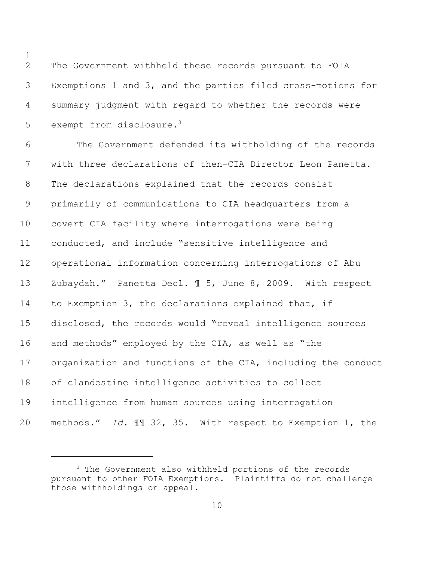The Government withheld these records pursuant to FOIA Exemptions 1 and 3, and the parties filed cross-motions for summary judgment with regard to whether the records were 5 exempt from disclosure.<sup>3</sup>

 The Government defended its withholding of the records with three declarations of then-CIA Director Leon Panetta. The declarations explained that the records consist primarily of communications to CIA headquarters from a covert CIA facility where interrogations were being conducted, and include "sensitive intelligence and operational information concerning interrogations of Abu Zubaydah." Panetta Decl. ¶ 5, June 8, 2009. With respect to Exemption 3, the declarations explained that, if disclosed, the records would "reveal intelligence sources and methods" employed by the CIA, as well as "the organization and functions of the CIA, including the conduct of clandestine intelligence activities to collect intelligence from human sources using interrogation methods." *Id.* ¶¶ 32, 35. With respect to Exemption 1, the

 The Government also withheld portions of the records pursuant to other FOIA Exemptions. Plaintiffs do not challenge those withholdings on appeal.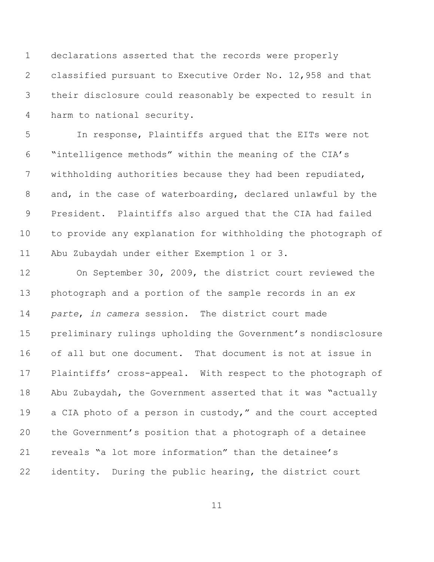declarations asserted that the records were properly classified pursuant to Executive Order No. 12,958 and that their disclosure could reasonably be expected to result in harm to national security.

 In response, Plaintiffs argued that the EITs were not "intelligence methods" within the meaning of the CIA's withholding authorities because they had been repudiated, and, in the case of waterboarding, declared unlawful by the President. Plaintiffs also argued that the CIA had failed to provide any explanation for withholding the photograph of Abu Zubaydah under either Exemption 1 or 3.

 On September 30, 2009, the district court reviewed the photograph and a portion of the sample records in an *ex parte*, *in camera* session. The district court made preliminary rulings upholding the Government's nondisclosure of all but one document. That document is not at issue in 17 Plaintiffs' cross-appeal. With respect to the photograph of Abu Zubaydah, the Government asserted that it was "actually 19 a CIA photo of a person in custody," and the court accepted the Government's position that a photograph of a detainee reveals "a lot more information" than the detainee's identity. During the public hearing, the district court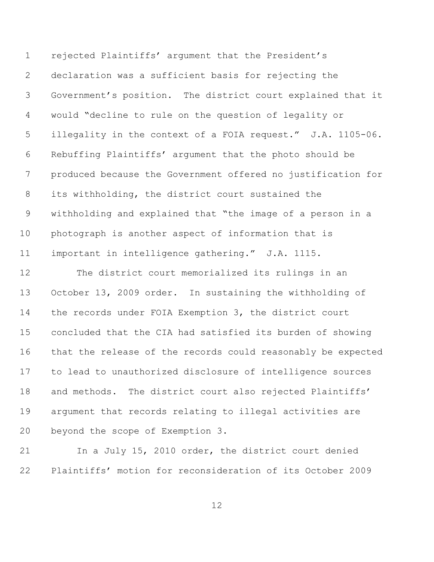rejected Plaintiffs' argument that the President's declaration was a sufficient basis for rejecting the Government's position. The district court explained that it would "decline to rule on the question of legality or illegality in the context of a FOIA request." J.A. 1105-06. Rebuffing Plaintiffs' argument that the photo should be produced because the Government offered no justification for its withholding, the district court sustained the withholding and explained that "the image of a person in a photograph is another aspect of information that is important in intelligence gathering." J.A. 1115.

 The district court memorialized its rulings in an October 13, 2009 order. In sustaining the withholding of the records under FOIA Exemption 3, the district court concluded that the CIA had satisfied its burden of showing that the release of the records could reasonably be expected to lead to unauthorized disclosure of intelligence sources 18 and methods. The district court also rejected Plaintiffs' argument that records relating to illegal activities are beyond the scope of Exemption 3.

 In a July 15, 2010 order, the district court denied Plaintiffs' motion for reconsideration of its October 2009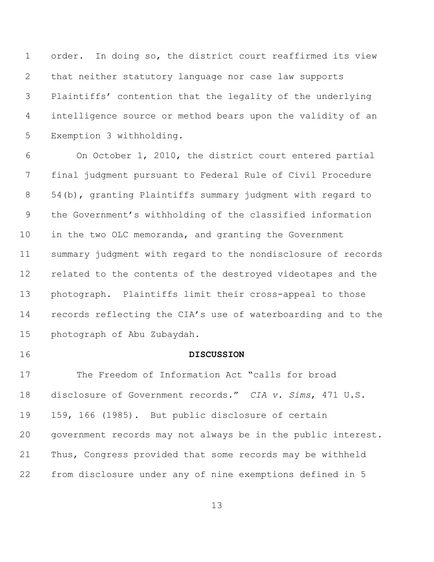order.In doing so, the district court reaffirmed its view that neither statutory language nor case law supports Plaintiffs' contention that the legality of the underlying intelligence source or method bears upon the validity of an Exemption 3 withholding.

 On October 1, 2010, the district court entered partial final judgment pursuant to Federal Rule of Civil Procedure 54(b), granting Plaintiffs summary judgment with regard to the Government's withholding of the classified information in the two OLC memoranda, and granting the Government summary judgment with regard to the nondisclosure of records related to the contents of the destroyed videotapes and the photograph.Plaintiffs limit their cross-appeal to those records reflecting the CIA's use of waterboarding and to the photograph of Abu Zubaydah.

#### **DISCUSSION**

 The Freedom of Information Act "calls for broad disclosure of Government records." *CIA v. Sims*, 471 U.S. 159, 166 (1985). But public disclosure of certain government records may not always be in the public interest. Thus, Congress provided that some records may be withheld from disclosure under any of nine exemptions defined in 5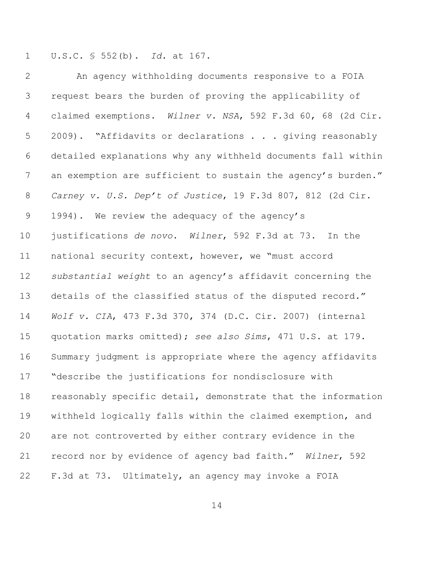U.S.C. § 552(b). *Id.* at 167.

 An agency withholding documents responsive to a FOIA request bears the burden of proving the applicability of claimed exemptions. *Wilner v. NSA*, 592 F.3d 60, 68 (2d Cir. 5 2009). "Affidavits or declarations . . . giving reasonably detailed explanations why any withheld documents fall within 7 an exemption are sufficient to sustain the agency's burden." *Carney v. U.S. Dep't of Justice*, 19 F.3d 807, 812 (2d Cir. 1994). We review the adequacy of the agency's justifications *de novo*. *Wilner*, 592 F.3d at 73. In the national security context, however, we "must accord *substantial weight* to an agency's affidavit concerning the details of the classified status of the disputed record." *Wolf v. CIA*, 473 F.3d 370, 374 (D.C. Cir. 2007) (internal quotation marks omitted); *see also Sims*, 471 U.S. at 179. Summary judgment is appropriate where the agency affidavits "describe the justifications for nondisclosure with reasonably specific detail, demonstrate that the information withheld logically falls within the claimed exemption, and are not controverted by either contrary evidence in the record nor by evidence of agency bad faith." *Wilner*, 592 F.3d at 73. Ultimately, an agency may invoke a FOIA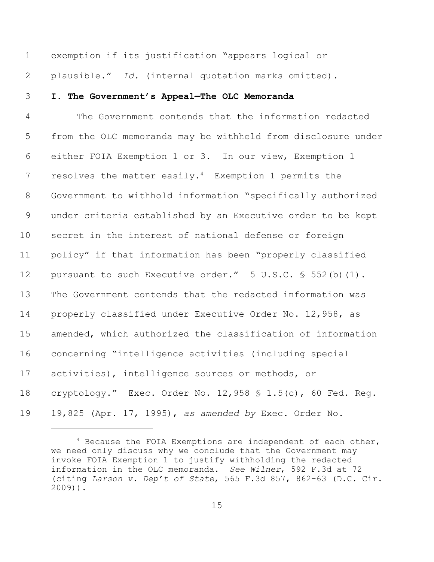exemption if its justification "appears logical or

plausible." *Id.* (internal quotation marks omitted).

**I. The Government's Appeal—The OLC Memoranda**

 The Government contends that the information redacted from the OLC memoranda may be withheld from disclosure under either FOIA Exemption 1 or 3. In our view, Exemption 1 7 resolves the matter easily.<sup>4</sup> Exemption 1 permits the Government to withhold information "specifically authorized under criteria established by an Executive order to be kept secret in the interest of national defense or foreign policy" if that information has been "properly classified 12 pursuant to such Executive order." 5 U.S.C. § 552(b)(1). The Government contends that the redacted information was properly classified under Executive Order No. 12,958, as amended, which authorized the classification of information concerning "intelligence activities (including special activities), intelligence sources or methods, or cryptology." Exec. Order No. 12,958 § 1.5(c), 60 Fed. Reg. 19,825 (Apr. 17, 1995), *as amended by* Exec. Order No.

 Because the FOIA Exemptions are independent of each other, we need only discuss why we conclude that the Government may invoke FOIA Exemption 1 to justify withholding the redacted information in the OLC memoranda. *See Wilner*, 592 F.3d at 72 (citing *Larson v. Dep't of State*, 565 F.3d 857, 862-63 (D.C. Cir. 2009)).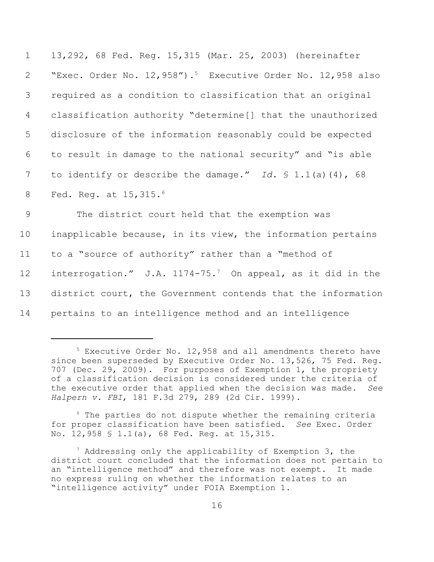| $\mathbf 1$    | 13,292, 68 Fed. Reg. 15,315 (Mar. 25, 2003) (hereinafter                  |
|----------------|---------------------------------------------------------------------------|
| $\mathbf{2}$   | "Exec. Order No. 12, 958"). <sup>5</sup> Executive Order No. 12, 958 also |
| 3              | required as a condition to classification that an original                |
| $\overline{4}$ | classification authority "determine[] that the unauthorized               |
| 5              | disclosure of the information reasonably could be expected                |
| 6              | to result in damage to the national security" and "is able                |
| 7              | to identify or describe the damage." Id. $\frac{1}{2}$ 1.1(a)(4), 68      |
| 8              | Fed. Req. at $15,315.^6$                                                  |
| 9              | The district court held that the exemption was                            |
| 10             | inapplicable because, in its view, the information pertains               |
| 11             | to a "source of authority" rather than a "method of                       |
| 12             | interrogation." J.A. 1174-75. <sup>7</sup> On appeal, as it did in the    |
| 13             | district court, the Government contends that the information              |
| 14             | pertains to an intelligence method and an intelligence                    |

<sup>&</sup>lt;sup>5</sup> Executive Order No. 12,958 and all amendments thereto have since been superseded by Executive Order No. 13,526, 75 Fed. Reg. 707 (Dec. 29, 2009). For purposes of Exemption 1, the propriety of a classification decision is considered under the criteria of the executive order that applied when the decision was made. *See Halpern v. FBI*, 181 F.3d 279, 289 (2d Cir. 1999).

 $6$  The parties do not dispute whether the remaining criteria for proper classification have been satisfied. *See* Exec. Order No. 12,958 § 1.1(a), 68 Fed. Reg. at 15,315.

 $^7$  Addressing only the applicability of Exemption 3, the district court concluded that the information does not pertain to an "intelligence method" and therefore was not exempt. It made no express ruling on whether the information relates to an "intelligence activity" under FOIA Exemption 1.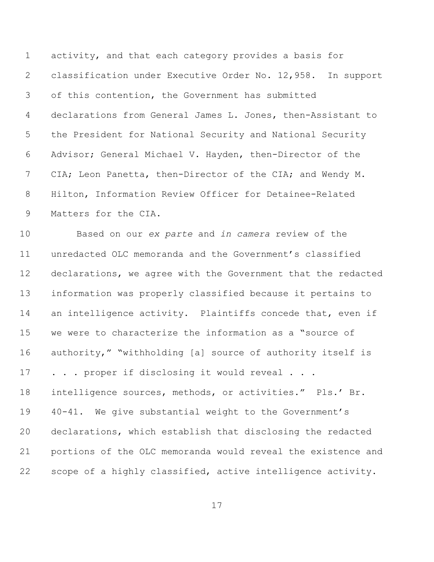activity, and that each category provides a basis for classification under Executive Order No. 12,958. In support of this contention, the Government has submitted declarations from General James L. Jones, then-Assistant to the President for National Security and National Security Advisor; General Michael V. Hayden, then-Director of the CIA; Leon Panetta, then-Director of the CIA; and Wendy M. Hilton, Information Review Officer for Detainee-Related Matters for the CIA.

 Based on our *ex parte* and *in camera* review of the unredacted OLC memoranda and the Government's classified declarations, we agree with the Government that the redacted information was properly classified because it pertains to an intelligence activity. Plaintiffs concede that, even if we were to characterize the information as a "source of authority," "withholding [a] source of authority itself is 17 . . . proper if disclosing it would reveal . . . intelligence sources, methods, or activities." Pls.' Br. 40-41. We give substantial weight to the Government's declarations, which establish that disclosing the redacted portions of the OLC memoranda would reveal the existence and scope of a highly classified, active intelligence activity.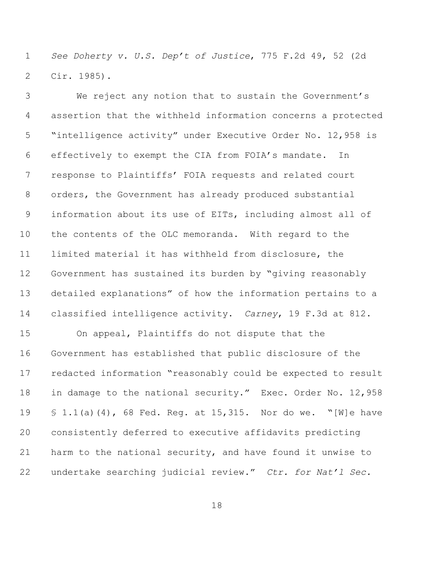*See Doherty v. U.S. Dep't of Justice*, 775 F.2d 49, 52 (2d Cir. 1985).

 We reject any notion that to sustain the Government's assertion that the withheld information concerns a protected "intelligence activity" under Executive Order No. 12,958 is effectively to exempt the CIA from FOIA's mandate. In response to Plaintiffs' FOIA requests and related court orders, the Government has already produced substantial information about its use of EITs, including almost all of the contents of the OLC memoranda. With regard to the limited material it has withheld from disclosure, the Government has sustained its burden by "giving reasonably detailed explanations" of how the information pertains to a classified intelligence activity. *Carney*, 19 F.3d at 812.

 On appeal, Plaintiffs do not dispute that the Government has established that public disclosure of the redacted information "reasonably could be expected to result in damage to the national security." Exec. Order No. 12,958 § 1.1(a)(4), 68 Fed. Reg. at 15,315. Nor do we. "[W]e have consistently deferred to executive affidavits predicting harm to the national security, and have found it unwise to undertake searching judicial review." *Ctr. for Nat'l Sec.*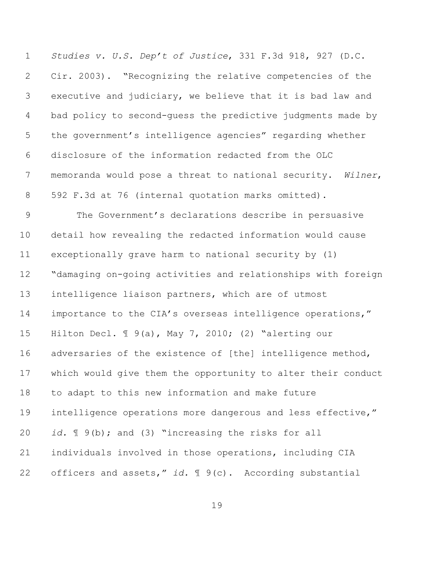*Studies v. U.S. Dep't of Justice*, 331 F.3d 918, 927 (D.C. Cir. 2003). "Recognizing the relative competencies of the executive and judiciary, we believe that it is bad law and bad policy to second-guess the predictive judgments made by the government's intelligence agencies" regarding whether disclosure of the information redacted from the OLC memoranda would pose a threat to national security. *Wilner*, 592 F.3d at 76 (internal quotation marks omitted).

 The Government's declarations describe in persuasive detail how revealing the redacted information would cause exceptionally grave harm to national security by (1) "damaging on-going activities and relationships with foreign intelligence liaison partners, which are of utmost importance to the CIA's overseas intelligence operations," Hilton Decl. ¶ 9(a), May 7, 2010; (2) "alerting our adversaries of the existence of [the] intelligence method, which would give them the opportunity to alter their conduct to adapt to this new information and make future intelligence operations more dangerous and less effective," *id.* ¶ 9(b); and (3) "increasing the risks for all individuals involved in those operations, including CIA officers and assets," *id.* ¶ 9(c). According substantial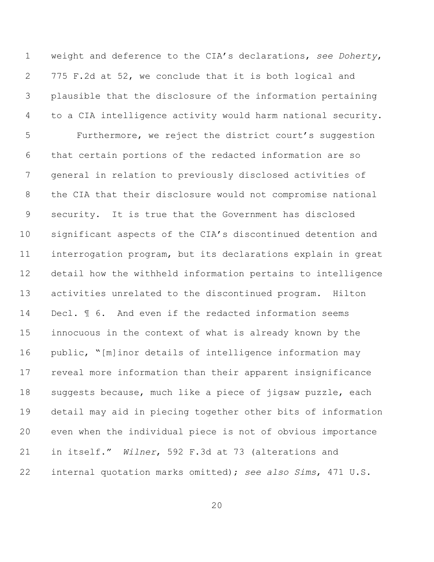weight and deference to the CIA's declarations, *see Doherty*, 775 F.2d at 52, we conclude that it is both logical and plausible that the disclosure of the information pertaining to a CIA intelligence activity would harm national security. Furthermore, we reject the district court's suggestion that certain portions of the redacted information are so general in relation to previously disclosed activities of the CIA that their disclosure would not compromise national security. It is true that the Government has disclosed significant aspects of the CIA's discontinued detention and interrogation program, but its declarations explain in great detail how the withheld information pertains to intelligence activities unrelated to the discontinued program. Hilton Decl. ¶ 6. And even if the redacted information seems innocuous in the context of what is already known by the public, "[m]inor details of intelligence information may reveal more information than their apparent insignificance suggests because, much like a piece of jigsaw puzzle, each detail may aid in piecing together other bits of information even when the individual piece is not of obvious importance in itself." *Wilner*, 592 F.3d at 73 (alterations and internal quotation marks omitted); *see also Sims*, 471 U.S.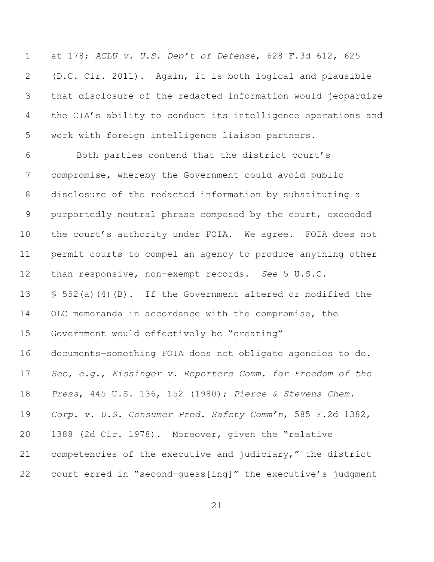at 178; *ACLU v. U.S. Dep't of Defense*, 628 F.3d 612, 625 (D.C. Cir. 2011). Again, it is both logical and plausible that disclosure of the redacted information would jeopardize the CIA's ability to conduct its intelligence operations and work with foreign intelligence liaison partners.

 Both parties contend that the district court's compromise, whereby the Government could avoid public disclosure of the redacted information by substituting a purportedly neutral phrase composed by the court, exceeded 10 the court's authority under FOIA. We agree. FOIA does not permit courts to compel an agency to produce anything other than responsive, non-exempt records. *See* 5 U.S.C. § 552(a)(4)(B). If the Government altered or modified the OLC memoranda in accordance with the compromise, the Government would effectively be "creating" documents—something FOIA does not obligate agencies to do. *See, e.g.*, *Kissinger v. Reporters Comm. for Freedom of the Press*, 445 U.S. 136, 152 (1980); *Pierce & Stevens Chem. Corp. v. U.S. Consumer Prod. Safety Comm'n*, 585 F.2d 1382, 1388 (2d Cir. 1978). Moreover, given the "relative competencies of the executive and judiciary," the district court erred in "second-guess[ing]" the executive's judgment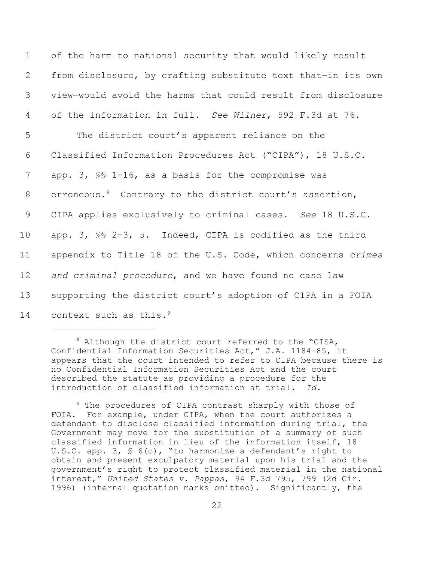| $\mathbf 1$ | of the harm to national security that would likely result           |
|-------------|---------------------------------------------------------------------|
| 2           | from disclosure, by crafting substitute text that-in its own        |
| 3           | view-would avoid the harms that could result from disclosure        |
| 4           | of the information in full. See Wilner, 592 F.3d at 76.             |
| 5           | The district court's apparent reliance on the                       |
| 6           | Classified Information Procedures Act ("CIPA"), 18 U.S.C.           |
| 7           | app. 3, SS 1-16, as a basis for the compromise was                  |
| 8           | erroneous. <sup>8</sup> Contrary to the district court's assertion, |
| 9           | CIPA applies exclusively to criminal cases. See 18 U.S.C.           |
| 10          | app. 3, SS 2-3, 5. Indeed, CIPA is codified as the third            |
| 11          | appendix to Title 18 of the U.S. Code, which concerns crimes        |
| 12          | and criminal procedure, and we have found no case law               |
| 13          | supporting the district court's adoption of CIPA in a FOIA          |
| 14          | context such as this. <sup>9</sup>                                  |

 $8$  Although the district court referred to the "CISA, Confidential Information Securities Act," J.A. 1184-85, it appears that the court intended to refer to CIPA because there is no Confidential Information Securities Act and the court described the statute as providing a procedure for the introduction of classified information at trial. *Id.*

 $9$  The procedures of CIPA contrast sharply with those of FOIA. For example, under CIPA, when the court authorizes a defendant to disclose classified information during trial, the Government may move for the substitution of a summary of such classified information in lieu of the information itself, 18 U.S.C. app. 3, § 6(c), "to harmonize a defendant's right to obtain and present exculpatory material upon his trial and the government's right to protect classified material in the national interest," *United States v. Pappas*, 94 F.3d 795, 799 (2d Cir. 1996) (internal quotation marks omitted). Significantly, the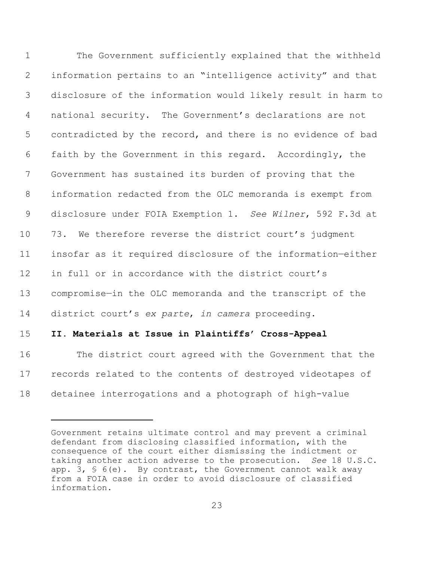The Government sufficiently explained that the withheld information pertains to an "intelligence activity" and that disclosure of the information would likely result in harm to national security. The Government's declarations are not contradicted by the record, and there is no evidence of bad faith by the Government in this regard. Accordingly, the Government has sustained its burden of proving that the information redacted from the OLC memoranda is exempt from disclosure under FOIA Exemption 1. *See Wilner*, 592 F.3d at 73. We therefore reverse the district court's judgment insofar as it required disclosure of the information—either in full or in accordance with the district court's compromise—in the OLC memoranda and the transcript of the district court's *ex parte*, *in camera* proceeding.

### **II. Materials at Issue in Plaintiffs' Cross-Appeal**

 The district court agreed with the Government that the records related to the contents of destroyed videotapes of detainee interrogations and a photograph of high-value

Government retains ultimate control and may prevent a criminal defendant from disclosing classified information, with the consequence of the court either dismissing the indictment or taking another action adverse to the prosecution. *See* 18 U.S.C. app. 3,  $\frac{1}{5}$  6(e). By contrast, the Government cannot walk away from a FOIA case in order to avoid disclosure of classified information.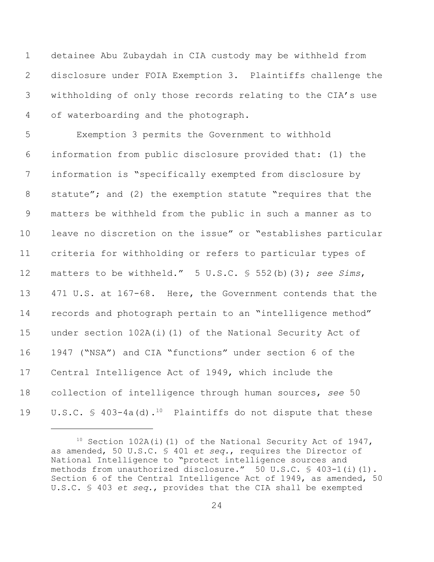detainee Abu Zubaydah in CIA custody may be withheld from disclosure under FOIA Exemption 3. Plaintiffs challenge the withholding of only those records relating to the CIA's use of waterboarding and the photograph.

 Exemption 3 permits the Government to withhold information from public disclosure provided that: (1) the information is "specifically exempted from disclosure by statute"; and (2) the exemption statute "requires that the matters be withheld from the public in such a manner as to leave no discretion on the issue" or "establishes particular criteria for withholding or refers to particular types of matters to be withheld." 5 U.S.C. § 552(b)(3); *see Sims*, 471 U.S. at 167-68. Here, the Government contends that the records and photograph pertain to an "intelligence method" under section 102A(i)(1) of the National Security Act of 1947 ("NSA") and CIA "functions" under section 6 of the Central Intelligence Act of 1949, which include the collection of intelligence through human sources, *see* 50 19 U.S.C.  $\frac{10}{2}$  403-4a(d).<sup>10</sup> Plaintiffs do not dispute that these

 Section 102A(i)(1) of the National Security Act of 1947, as amended, 50 U.S.C. § 401 *et seq.*, requires the Director of National Intelligence to "protect intelligence sources and methods from unauthorized disclosure." 50 U.S.C. § 403-1(i)(1). Section 6 of the Central Intelligence Act of 1949, as amended, 50 U.S.C. § 403 *et seq.*, provides that the CIA shall be exempted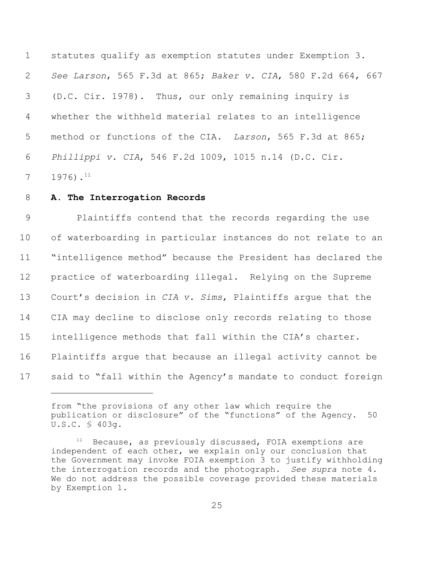statutes qualify as exemption statutes under Exemption 3. *See Larson*, 565 F.3d at 865; *Baker v. CIA*, 580 F.2d 664, 667 (D.C. Cir. 1978).Thus, our only remaining inquiry is whether the withheld material relates to an intelligence method or functions of the CIA. *Larson*, 565 F.3d at 865; *Phillippi v. CIA*, 546 F.2d 1009, 1015 n.14 (D.C. Cir. .<sup>11</sup>

## **A. The Interrogation Records**

 Plaintiffs contend that the records regarding the use of waterboarding in particular instances do not relate to an "intelligence method" because the President has declared the practice of waterboarding illegal. Relying on the Supreme Court's decision in *CIA v. Sims*, Plaintiffs argue that the CIA may decline to disclose only records relating to those intelligence methods that fall within the CIA's charter. Plaintiffs argue that because an illegal activity cannot be said to "fall within the Agency's mandate to conduct foreign

from "the provisions of any other law which require the publication or disclosure" of the "functions" of the Agency. 50 U.S.C. § 403g.

 Because, as previously discussed, FOIA exemptions are independent of each other, we explain only our conclusion that the Government may invoke FOIA exemption 3 to justify withholding the interrogation records and the photograph. *See supra* note 4. We do not address the possible coverage provided these materials by Exemption 1.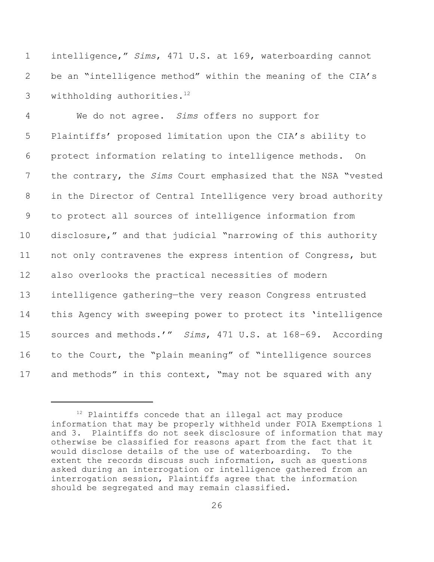intelligence," *Sims*, 471 U.S. at 169, waterboarding cannot be an "intelligence method" within the meaning of the CIA's 3 withholding authorities.

 We do not agree. *Sims* offers no support for Plaintiffs' proposed limitation upon the CIA's ability to protect information relating to intelligence methods. On the contrary, the *Sims* Court emphasized that the NSA "vested in the Director of Central Intelligence very broad authority to protect all sources of intelligence information from disclosure," and that judicial "narrowing of this authority not only contravenes the express intention of Congress, but also overlooks the practical necessities of modern intelligence gathering—the very reason Congress entrusted this Agency with sweeping power to protect its 'intelligence sources and methods.'" *Sims*, 471 U.S. at 168–69. According to the Court, the "plain meaning" of "intelligence sources 17 and methods" in this context, "may not be squared with any

 Plaintiffs concede that an illegal act may produce information that may be properly withheld under FOIA Exemptions 1 and 3. Plaintiffs do not seek disclosure of information that may otherwise be classified for reasons apart from the fact that it would disclose details of the use of waterboarding. To the extent the records discuss such information, such as questions asked during an interrogation or intelligence gathered from an interrogation session, Plaintiffs agree that the information should be segregated and may remain classified.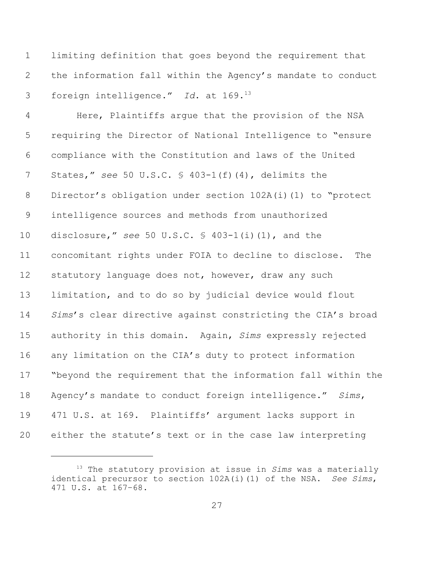limiting definition that goes beyond the requirement that the information fall within the Agency's mandate to conduct foreign intelligence." *Id*. at 169. 13

 Here, Plaintiffs argue that the provision of the NSA requiring the Director of National Intelligence to "ensure compliance with the Constitution and laws of the United States," *see* 50 U.S.C. § 403-1(f)(4), delimits the Director's obligation under section 102A(i)(1) to "protect intelligence sources and methods from unauthorized disclosure," *see* 50 U.S.C. § 403-1(i)(1), and the concomitant rights under FOIA to decline to disclose. The 12 statutory language does not, however, draw any such limitation, and to do so by judicial device would flout *Sims*'s clear directive against constricting the CIA's broad authority in this domain. Again, *Sims* expressly rejected any limitation on the CIA's duty to protect information "beyond the requirement that the information fall within the Agency's mandate to conduct foreign intelligence." *Sims*, 471 U.S. at 169. Plaintiffs' argument lacks support in either the statute's text or in the case law interpreting

<sup>&</sup>lt;sup>13</sup> The statutory provision at issue in *Sims* was a materially identical precursor to section 102A(i)(1) of the NSA. *See Sims*, 471 U.S. at 167–68.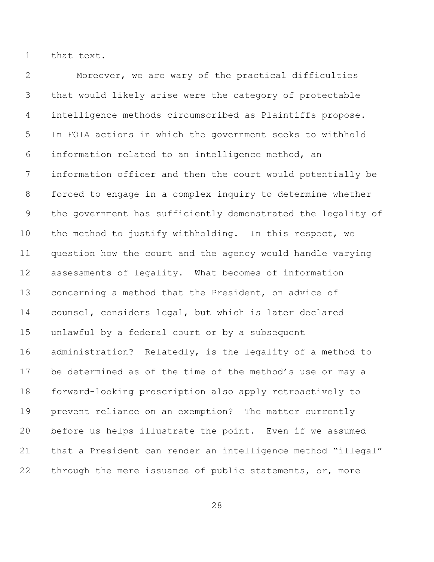that text.

 Moreover, we are wary of the practical difficulties that would likely arise were the category of protectable intelligence methods circumscribed as Plaintiffs propose. In FOIA actions in which the government seeks to withhold information related to an intelligence method, an information officer and then the court would potentially be forced to engage in a complex inquiry to determine whether the government has sufficiently demonstrated the legality of the method to justify withholding. In this respect, we question how the court and the agency would handle varying assessments of legality. What becomes of information concerning a method that the President, on advice of counsel, considers legal, but which is later declared unlawful by a federal court or by a subsequent administration? Relatedly, is the legality of a method to be determined as of the time of the method's use or may a forward-looking proscription also apply retroactively to prevent reliance on an exemption? The matter currently before us helps illustrate the point. Even if we assumed that a President can render an intelligence method "illegal" 22 through the mere issuance of public statements, or, more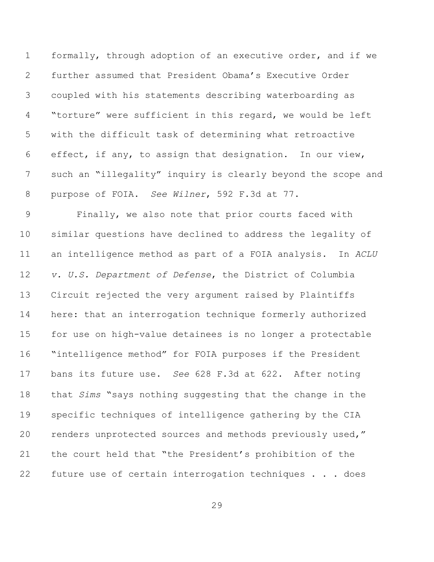formally, through adoption of an executive order, and if we further assumed that President Obama's Executive Order coupled with his statements describing waterboarding as "torture" were sufficient in this regard, we would be left with the difficult task of determining what retroactive effect, if any, to assign that designation. In our view, such an "illegality" inquiry is clearly beyond the scope and purpose of FOIA. *See Wilner*, 592 F.3d at 77.

 Finally, we also note that prior courts faced with similar questions have declined to address the legality of an intelligence method as part of a FOIA analysis. In *ACLU v. U.S. Department of Defense*, the District of Columbia Circuit rejected the very argument raised by Plaintiffs here: that an interrogation technique formerly authorized for use on high-value detainees is no longer a protectable "intelligence method" for FOIA purposes if the President bans its future use. *See* 628 F.3d at 622. After noting that *Sims* "says nothing suggesting that the change in the specific techniques of intelligence gathering by the CIA renders unprotected sources and methods previously used," the court held that "the President's prohibition of the future use of certain interrogation techniques . . . does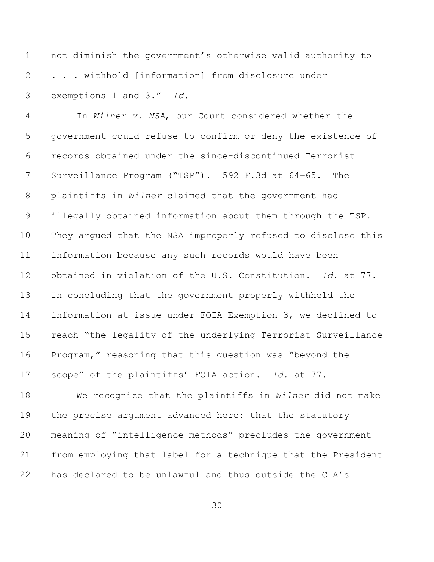not diminish the government's otherwise valid authority to . . . withhold [information] from disclosure under exemptions 1 and 3." *Id*.

 In *Wilner v. NSA*, our Court considered whether the government could refuse to confirm or deny the existence of records obtained under the since-discontinued Terrorist Surveillance Program ("TSP"). 592 F.3d at 64–65. The plaintiffs in *Wilner* claimed that the government had illegally obtained information about them through the TSP. They argued that the NSA improperly refused to disclose this information because any such records would have been obtained in violation of the U.S. Constitution. *Id*. at 77. In concluding that the government properly withheld the information at issue under FOIA Exemption 3, we declined to reach "the legality of the underlying Terrorist Surveillance Program," reasoning that this question was "beyond the scope" of the plaintiffs' FOIA action. *Id*. at 77.

 We recognize that the plaintiffs in *Wilner* did not make 19 the precise argument advanced here: that the statutory meaning of "intelligence methods" precludes the government from employing that label for a technique that the President has declared to be unlawful and thus outside the CIA's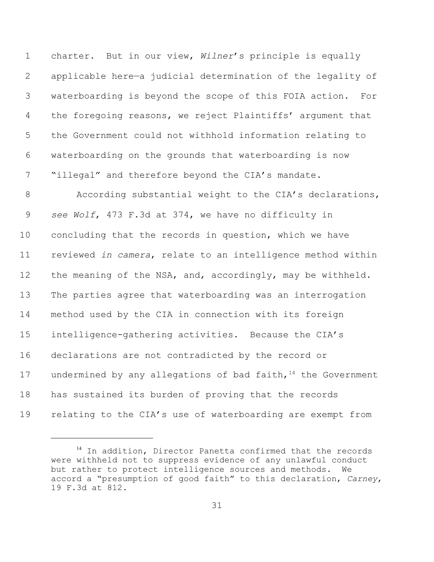charter. But in our view, *Wilner*'s principle is equally applicable here—a judicial determination of the legality of waterboarding is beyond the scope of this FOIA action. For the foregoing reasons, we reject Plaintiffs' argument that the Government could not withhold information relating to waterboarding on the grounds that waterboarding is now 7 "illegal" and therefore beyond the CIA's mandate.

8 According substantial weight to the CIA's declarations, *see Wolf*, 473 F.3d at 374, we have no difficulty in concluding that the records in question, which we have reviewed *in camera*, relate to an intelligence method within 12 the meaning of the NSA, and, accordingly, may be withheld. The parties agree that waterboarding was an interrogation method used by the CIA in connection with its foreign intelligence-gathering activities. Because the CIA's declarations are not contradicted by the record or 17 undermined by any allegations of bad faith, the Government has sustained its burden of proving that the records 19 relating to the CIA's use of waterboarding are exempt from

 In addition, Director Panetta confirmed that the records were withheld not to suppress evidence of any unlawful conduct but rather to protect intelligence sources and methods. We accord a "presumption of good faith" to this declaration, *Carney*, 19 F.3d at 812.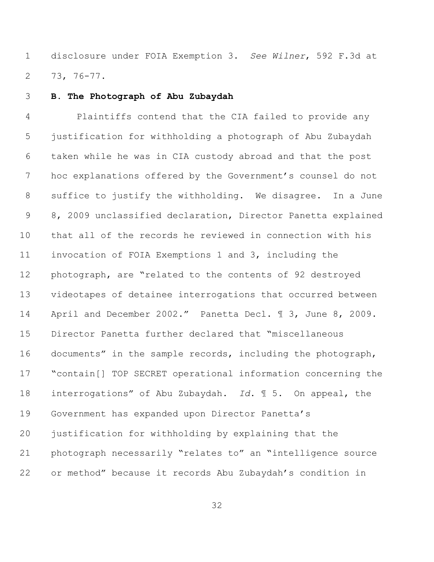disclosure under FOIA Exemption 3. *See Wilner*, 592 F.3d at 73, 76-77.

**B. The Photograph of Abu Zubaydah**

 Plaintiffs contend that the CIA failed to provide any justification for withholding a photograph of Abu Zubaydah taken while he was in CIA custody abroad and that the post hoc explanations offered by the Government's counsel do not suffice to justify the withholding. We disagree. In a June 8, 2009 unclassified declaration, Director Panetta explained that all of the records he reviewed in connection with his invocation of FOIA Exemptions 1 and 3, including the photograph, are "related to the contents of 92 destroyed videotapes of detainee interrogations that occurred between 14 April and December 2002." Panetta Decl. 1 3, June 8, 2009. Director Panetta further declared that "miscellaneous documents" in the sample records, including the photograph, "contain[] TOP SECRET operational information concerning the interrogations" of Abu Zubaydah. *Id*. ¶ 5. On appeal, the Government has expanded upon Director Panetta's justification for withholding by explaining that the photograph necessarily "relates to" an "intelligence source or method" because it records Abu Zubaydah's condition in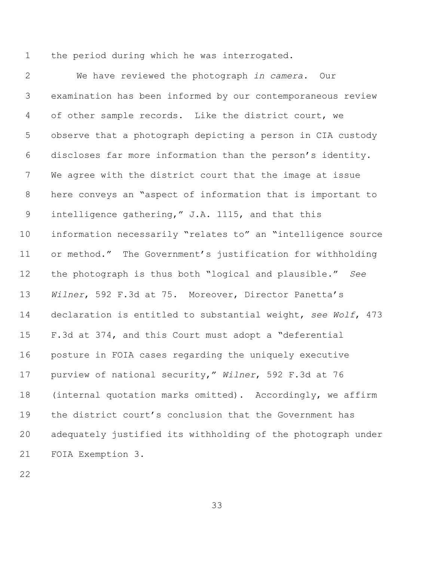the period during which he was interrogated.

 We have reviewed the photograph *in camera*. Our examination has been informed by our contemporaneous review of other sample records. Like the district court, we observe that a photograph depicting a person in CIA custody discloses far more information than the person's identity. We agree with the district court that the image at issue here conveys an "aspect of information that is important to intelligence gathering," J.A. 1115, and that this information necessarily "relates to" an "intelligence source or method." The Government's justification for withholding the photograph is thus both "logical and plausible." *See Wilner*, 592 F.3d at 75. Moreover, Director Panetta's declaration is entitled to substantial weight, *see Wolf*, 473 F.3d at 374, and this Court must adopt a "deferential posture in FOIA cases regarding the uniquely executive purview of national security," *Wilner*, 592 F.3d at 76 (internal quotation marks omitted). Accordingly, we affirm the district court's conclusion that the Government has adequately justified its withholding of the photograph under FOIA Exemption 3.